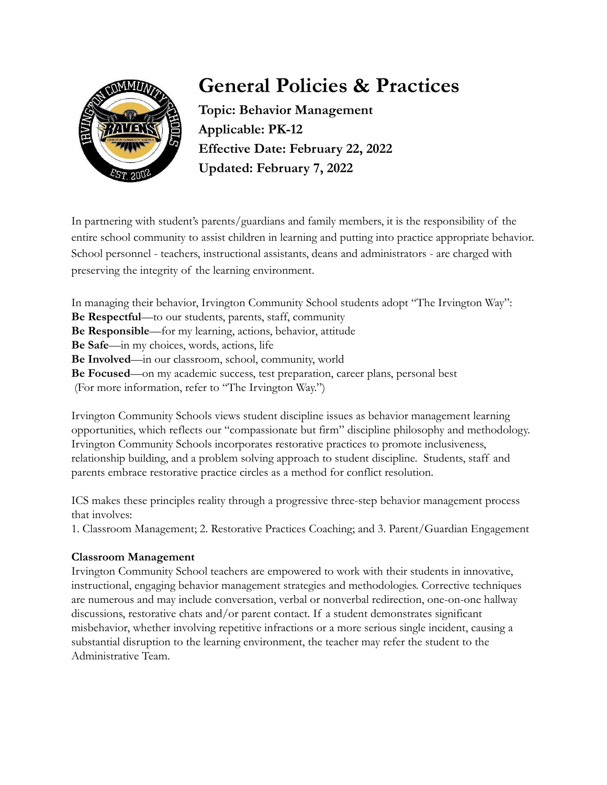

# **General Policies & Practices**

**Topic: Behavior Management Applicable: PK-12 Effective Date: February 22, 2022 Updated: February 7, 2022**

In partnering with student's parents/guardians and family members, it is the responsibility of the entire school community to assist children in learning and putting into practice appropriate behavior. School personnel - teachers, instructional assistants, deans and administrators - are charged with preserving the integrity of the learning environment.

In managing their behavior, Irvington Community School students adopt "The Irvington Way": **Be Respectful**—to our students, parents, staff, community **Be Responsible**—for my learning, actions, behavior, attitude **Be Safe**—in my choices, words, actions, life **Be Involved**—in our classroom, school, community, world **Be Focused**—on my academic success, test preparation, career plans, personal best (For more information, refer to "The Irvington Way.")

Irvington Community Schools views student discipline issues as behavior management learning opportunities, which reflects our "compassionate but firm" discipline philosophy and methodology. Irvington Community Schools incorporates restorative practices to promote inclusiveness, relationship building, and a problem solving approach to student discipline. Students, staff and parents embrace restorative practice circles as a method for conflict resolution.

ICS makes these principles reality through a progressive three-step behavior management process that involves:

1. Classroom Management; 2. Restorative Practices Coaching; and 3. Parent/Guardian Engagement

# **Classroom Management**

Irvington Community School teachers are empowered to work with their students in innovative, instructional, engaging behavior management strategies and methodologies. Corrective techniques are numerous and may include conversation, verbal or nonverbal redirection, one-on-one hallway discussions, restorative chats and/or parent contact. If a student demonstrates significant misbehavior, whether involving repetitive infractions or a more serious single incident, causing a substantial disruption to the learning environment, the teacher may refer the student to the Administrative Team.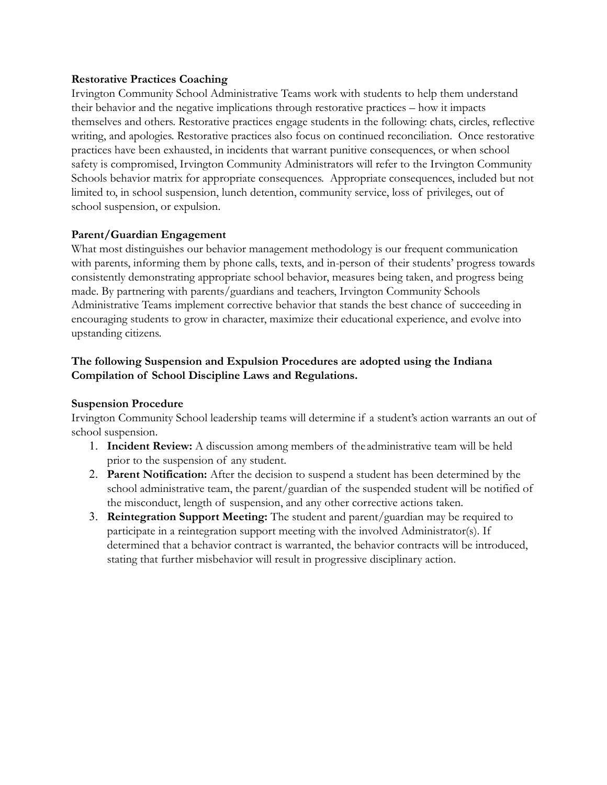#### **Restorative Practices Coaching**

Irvington Community School Administrative Teams work with students to help them understand their behavior and the negative implications through restorative practices – how it impacts themselves and others. Restorative practices engage students in the following: chats, circles, reflective writing, and apologies. Restorative practices also focus on continued reconciliation. Once restorative practices have been exhausted, in incidents that warrant punitive consequences, or when school safety is compromised, Irvington Community Administrators will refer to the Irvington Community Schools behavior matrix for appropriate consequences. Appropriate consequences, included but not limited to, in school suspension, lunch detention, community service, loss of privileges, out of school suspension, or expulsion.

#### **Parent/Guardian Engagement**

What most distinguishes our behavior management methodology is our frequent communication with parents, informing them by phone calls, texts, and in-person of their students' progress towards consistently demonstrating appropriate school behavior, measures being taken, and progress being made. By partnering with parents/guardians and teachers, Irvington Community Schools Administrative Teams implement corrective behavior that stands the best chance of succeeding in encouraging students to grow in character, maximize their educational experience, and evolve into upstanding citizens.

## **The following Suspension and Expulsion Procedures are adopted using the Indiana Compilation of School Discipline Laws and Regulations.**

#### **Suspension Procedure**

Irvington Community School leadership teams will determine if a student's action warrants an out of school suspension.

- 1. **Incident Review:** A discussion among members of the administrative team will be held prior to the suspension of any student.
- 2. **Parent Notification:** After the decision to suspend a student has been determined by the school administrative team, the parent/guardian of the suspended student will be notified of the misconduct, length of suspension, and any other corrective actions taken.
- 3. **Reintegration Support Meeting:** The student and parent/guardian may be required to participate in a reintegration support meeting with the involved Administrator(s). If determined that a behavior contract is warranted, the behavior contracts will be introduced, stating that further misbehavior will result in progressive disciplinary action.